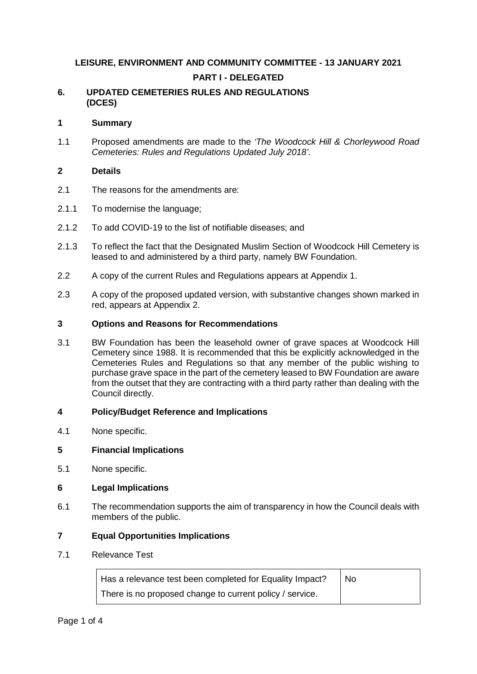# **LEISURE, ENVIRONMENT AND COMMUNITY COMMITTEE - 13 JANUARY 2021 PART I - DELEGATED**

# **6. UPDATED CEMETERIES RULES AND REGULATIONS (DCES)**

### **1 Summary**

1.1 Proposed amendments are made to the *'The Woodcock Hill & Chorleywood Road Cemeteries: Rules and Regulations Updated July 2018'*.

#### **2 Details**

- 2.1 The reasons for the amendments are:
- 2.1.1 To modernise the language;
- 2.1.2 To add COVID-19 to the list of notifiable diseases; and
- 2.1.3 To reflect the fact that the Designated Muslim Section of Woodcock Hill Cemetery is leased to and administered by a third party, namely BW Foundation.
- 2.2 A copy of the current Rules and Regulations appears at Appendix 1.
- 2.3 A copy of the proposed updated version, with substantive changes shown marked in red, appears at Appendix 2.

# **3 Options and Reasons for Recommendations**

3.1 BW Foundation has been the leasehold owner of grave spaces at Woodcock Hill Cemetery since 1988. It is recommended that this be explicitly acknowledged in the Cemeteries Rules and Regulations so that any member of the public wishing to purchase grave space in the part of the cemetery leased to BW Foundation are aware from the outset that they are contracting with a third party rather than dealing with the Council directly.

# **4 Policy/Budget Reference and Implications**

4.1 None specific.

# **5 Financial Implications**

5.1 None specific.

# **6 Legal Implications**

6.1 The recommendation supports the aim of transparency in how the Council deals with members of the public.

#### **7 Equal Opportunities Implications**

7.1 Relevance Test

÷

| Has a relevance test been completed for Equality Impact? | No. |
|----------------------------------------------------------|-----|
| There is no proposed change to current policy / service. |     |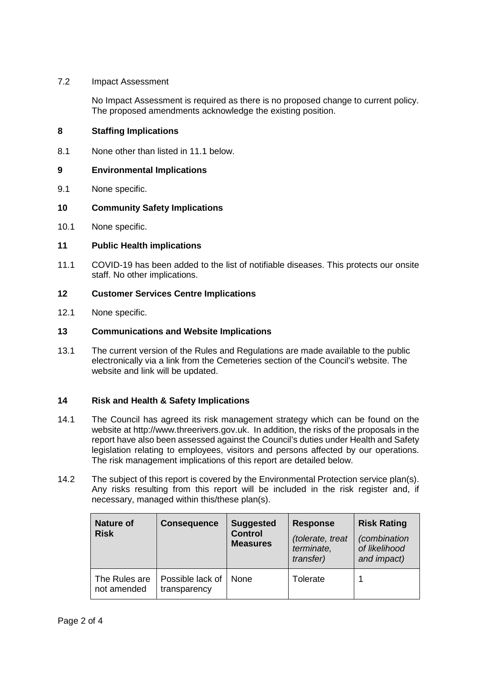# 7.2 Impact Assessment

No Impact Assessment is required as there is no proposed change to current policy. The proposed amendments acknowledge the existing position.

### **8 Staffing Implications**

8.1 None other than listed in 11.1 below.

#### **9 Environmental Implications**

9.1 None specific.

#### **10 Community Safety Implications**

10.1 None specific.

#### **11 Public Health implications**

11.1 COVID-19 has been added to the list of notifiable diseases. This protects our onsite staff. No other implications.

#### **12 Customer Services Centre Implications**

12.1 None specific.

#### **13 Communications and Website Implications**

13.1 The current version of the Rules and Regulations are made available to the public electronically via a link from the Cemeteries section of the Council's website. The website and link will be updated.

# **14 Risk and Health & Safety Implications**

- 14.1 The Council has agreed its risk management strategy which can be found on the website at http://www.threerivers.gov.uk. In addition, the risks of the proposals in the report have also been assessed against the Council's duties under Health and Safety legislation relating to employees, visitors and persons affected by our operations. The risk management implications of this report are detailed below.
- 14.2 The subject of this report is covered by the Environmental Protection service plan(s). Any risks resulting from this report will be included in the risk register and, if necessary, managed within this/these plan(s).

| <b>Nature of</b><br><b>Risk</b> | <b>Consequence</b>               | <b>Suggested</b><br><b>Control</b><br><b>Measures</b> | <b>Response</b><br>(tolerate, treat<br>terminate,<br>transfer) | <b>Risk Rating</b><br><i>(combination</i> )<br>of likelihood<br>and impact) |
|---------------------------------|----------------------------------|-------------------------------------------------------|----------------------------------------------------------------|-----------------------------------------------------------------------------|
| The Rules are<br>not amended    | Possible lack of<br>transparency | <b>None</b>                                           | Tolerate                                                       |                                                                             |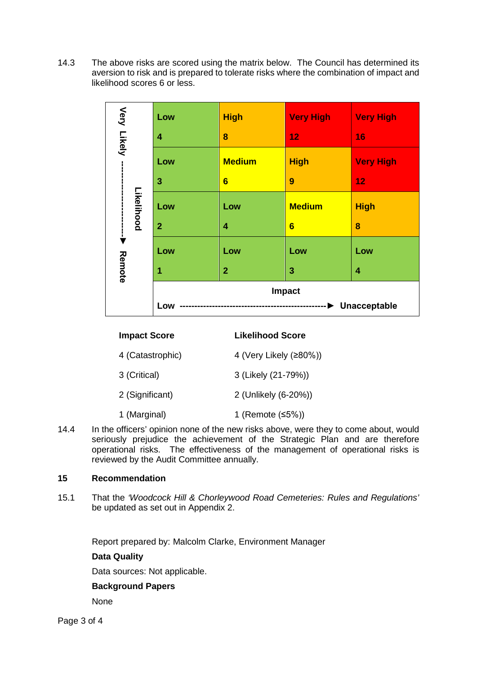14.3 The above risks are scored using the matrix below. The Council has determined its aversion to risk and is prepared to tolerate risks where the combination of impact and likelihood scores 6 or less.

|             | Low                                 | <b>High</b>             | <b>Very High</b> | <b>Very High</b> |
|-------------|-------------------------------------|-------------------------|------------------|------------------|
| Very Likely | 4                                   | 8                       | 12               | 16               |
|             | Low                                 | <b>Medium</b>           | <b>High</b>      | <b>Very High</b> |
|             | 3                                   | $6\phantom{1}6$         | 9                | 12               |
|             | Likelihood<br>Low<br>$\overline{2}$ | Low                     | <b>Medium</b>    | <b>High</b>      |
|             |                                     | $\overline{\mathbf{4}}$ | $6\phantom{1}$   | 8                |
|             | Low                                 | Low                     | Low              | Low              |
| Remote      | 1                                   | $\overline{2}$          | 3                | 4                |
|             | Impact                              |                         |                  |                  |
|             | Unacceptable<br>Low                 |                         |                  |                  |

|                                                              | <b>Impact Score</b> | <b>Likelihood Score</b> |  |
|--------------------------------------------------------------|---------------------|-------------------------|--|
|                                                              | 4 (Catastrophic)    | 4 (Very Likely (≥80%))  |  |
|                                                              | 3 (Critical)        | 3 (Likely (21-79%))     |  |
|                                                              | 2 (Significant)     | 2 (Unlikely (6-20%))    |  |
|                                                              | 1 (Marginal)        | 1 (Remote $≤5\%)$ )     |  |
| o officers' eninien nene of the new ricks above were they to |                     |                         |  |

14.4 In the officers' opinion none of the new risks above, were they to come about, would seriously prejudice the achievement of the Strategic Plan and are therefore operational risks. The effectiveness of the management of operational risks is reviewed by the Audit Committee annually.

# **15 Recommendation**

15.1 That the *'Woodcock Hill & Chorleywood Road Cemeteries: Rules and Regulations'* be updated as set out in Appendix 2.

Report prepared by: Malcolm Clarke, Environment Manager

**Data Quality**

Data sources: Not applicable.

# **Background Papers**

None

Page 3 of 4